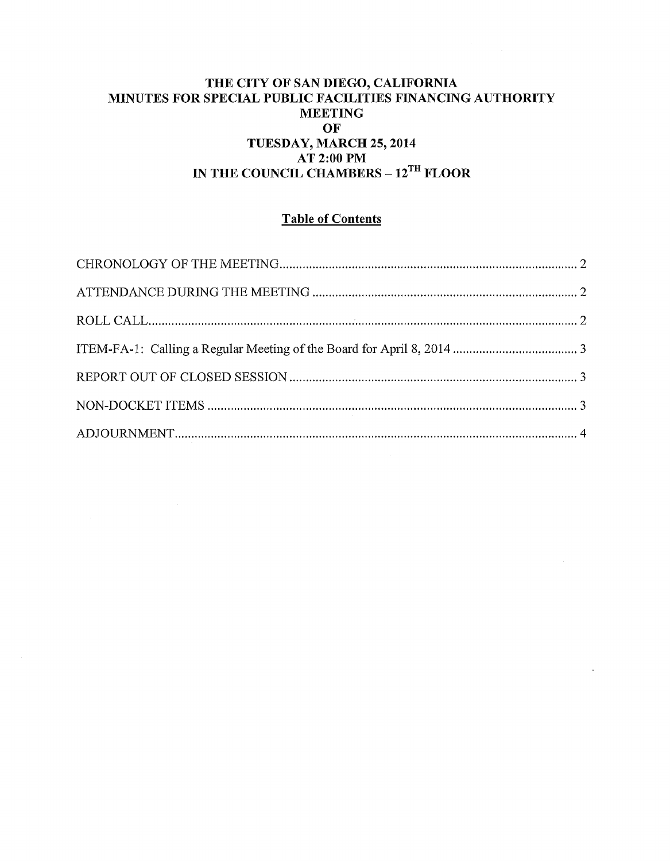#### THE CITY OF SAN DIEGO, CALIFORNIA MINUTES FOR SPECIAL PUBLIC FACILITIES FINANCING AUTHORITY MEETING OF TUESDAY, MARCH 25, 2014 AT 2:00PM IN THE COUNCIL CHAMBERS - 12<sup>TH</sup> FLOOR

# Table of Contents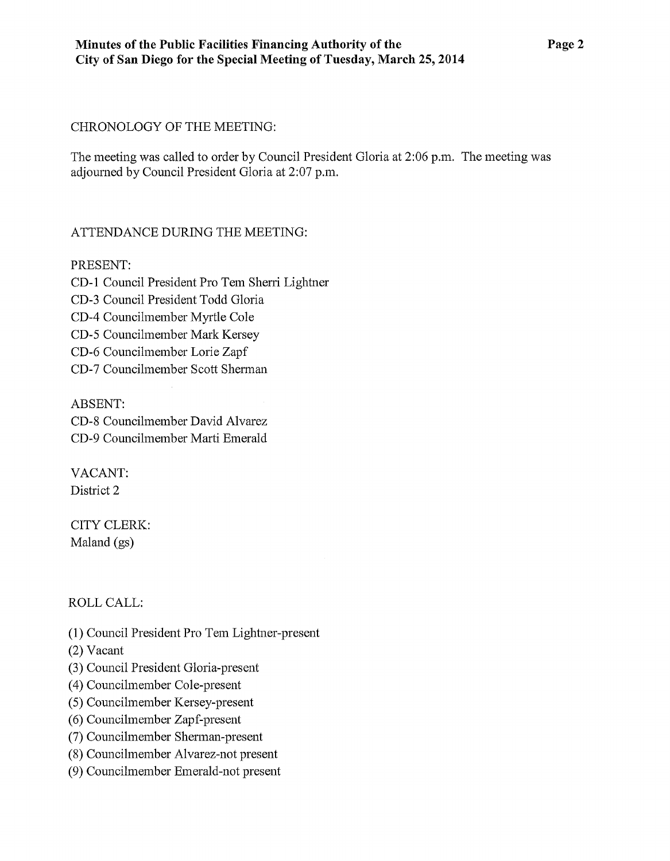### CHRONOLOGY OF THE MEETING:

The meeting was called to order by Council President Gloria at 2:06 p.m. The meeting was adjourned by Council President Gloria at 2:07 p.m.

# ATTENDANCE DURING THE MEETING:

# PRESENT:

CD-1 Council President Pro Tem Sherri Lightner CD-3 Council President Todd Gloria CD-4 Councilmember Myrtle Cole CD-5 Councilmember Mark Kersey CD-6 Councilmember Lorie Zapf CD-7 Councilmember Scott Sherman

ABSENT: CD-8 Councilmember David Alvarez CD-9 Councilmember Marti Emerald

VACANT: District 2

CITY CLERK: Maland (gs)

ROLLCALL:

(1) Council President Pro Tem Lightner-present

(2) Vacant

- (3) Council President Gloria-present
- ( 4) Councilmember Cole-present
- (5) Councilmember Kersey-present
- (6) Councilmember Zapf-present
- (7) Councilmember Sherman-present
- (8) Councilmember Alvarez-not present
- (9) Councilmember Emerald-not present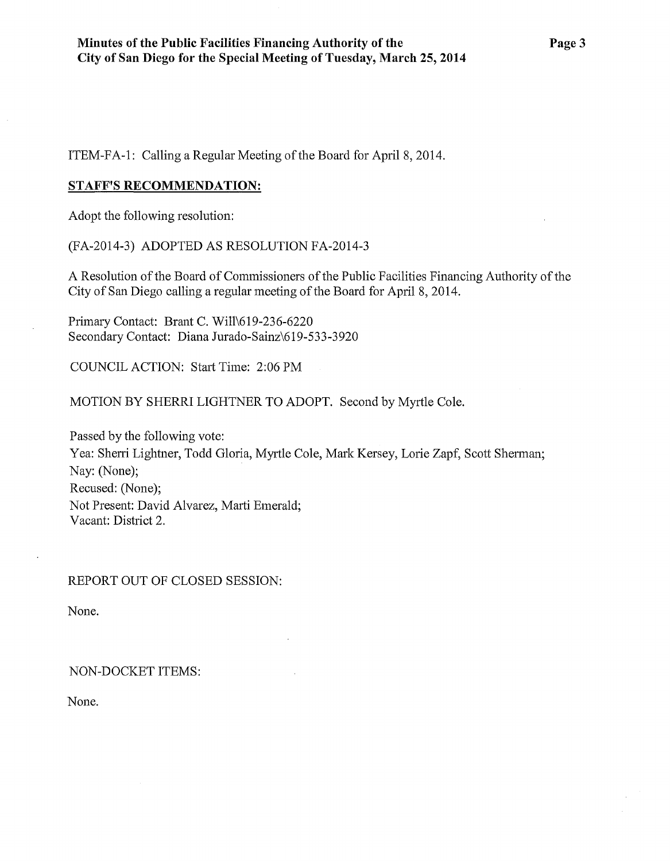ITEM-FA-1: Calling a Regular Meeting of the Board for April 8, 2014.

#### **STAFF'S RECOMMENDATION:**

Adopt the following resolution:

(FA-2014-3) ADOPTED AS RESOLUTION FA-2014-3

A Resolution of the Board of Commissioners of the Public Facilities Financing Authority of the City of San Diego calling a regular meeting of the Board for April 8, 2014.

Primary Contact: Brant C. Will\619-236-6220 Secondary Contact: Diana Jurado-Sainz\619-533-3920

COUNCIL ACTION: Start Time: 2:06PM

MOTION BY SHERR! LIGHTNER TO ADOPT. Second by Myrtle Cole.

Passed by the following vote: Yea: Sherri Lightner, Todd Gloria, Myrtle Cole, Mark Kersey, Lorie Zapf, Scott Shennan; Nay: (None); Recused: (None); Not Present: David Alvarez, Marti Emerald; Vacant: District 2.

REPORT OUT OF CLOSED SESSION:

None.

#### NON-DOCKET ITEMS:

None.